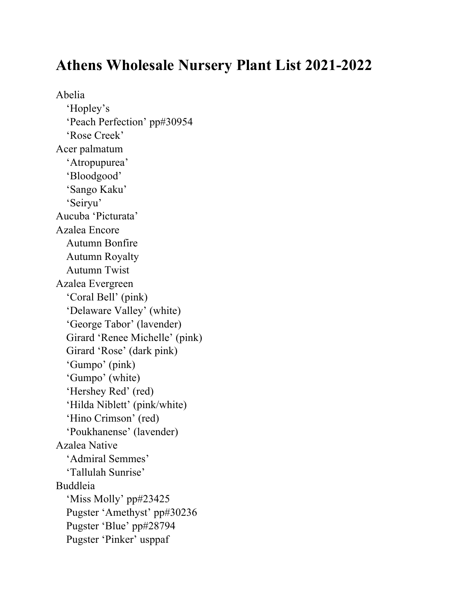## **Athens Wholesale Nursery Plant List 2021-2022**

Abelia 'Hopley's 'Peach Perfection' pp#30954 'Rose Creek' Acer palmatum 'Atropupurea' 'Bloodgood' 'Sango Kaku' 'Seiryu' Aucuba 'Picturata' Azalea Encore Autumn Bonfire Autumn Royalty Autumn Twist Azalea Evergreen 'Coral Bell' (pink) 'Delaware Valley' (white) 'George Tabor' (lavender) Girard 'Renee Michelle' (pink) Girard 'Rose' (dark pink) 'Gumpo' (pink) 'Gumpo' (white) 'Hershey Red' (red) 'Hilda Niblett' (pink/white) 'Hino Crimson' (red) 'Poukhanense' (lavender) Azalea Native 'Admiral Semmes' 'Tallulah Sunrise' Buddleia 'Miss Molly' pp#23425 Pugster 'Amethyst' pp#30236 Pugster 'Blue' pp#28794 Pugster 'Pinker' usppaf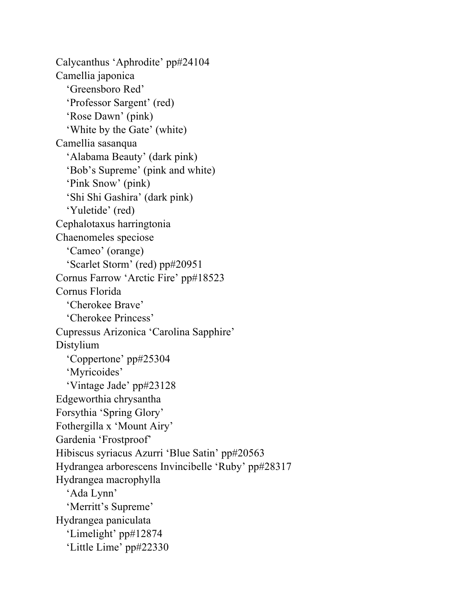Calycanthus 'Aphrodite' pp#24104 Camellia japonica 'Greensboro Red' 'Professor Sargent' (red) 'Rose Dawn' (pink) 'White by the Gate' (white) Camellia sasanqua 'Alabama Beauty' (dark pink) 'Bob's Supreme' (pink and white) 'Pink Snow' (pink) 'Shi Shi Gashira' (dark pink) 'Yuletide' (red) Cephalotaxus harringtonia Chaenomeles speciose 'Cameo' (orange) 'Scarlet Storm' (red) pp#20951 Cornus Farrow 'Arctic Fire' pp#18523 Cornus Florida 'Cherokee Brave' 'Cherokee Princess' Cupressus Arizonica 'Carolina Sapphire' Distylium 'Coppertone' pp#25304 'Myricoides' 'Vintage Jade' pp#23128 Edgeworthia chrysantha Forsythia 'Spring Glory' Fothergilla x 'Mount Airy' Gardenia 'Frostproof' Hibiscus syriacus Azurri 'Blue Satin' pp#20563 Hydrangea arborescens Invincibelle 'Ruby' pp#28317 Hydrangea macrophylla 'Ada Lynn' 'Merritt's Supreme' Hydrangea paniculata 'Limelight' pp#12874 'Little Lime' pp#22330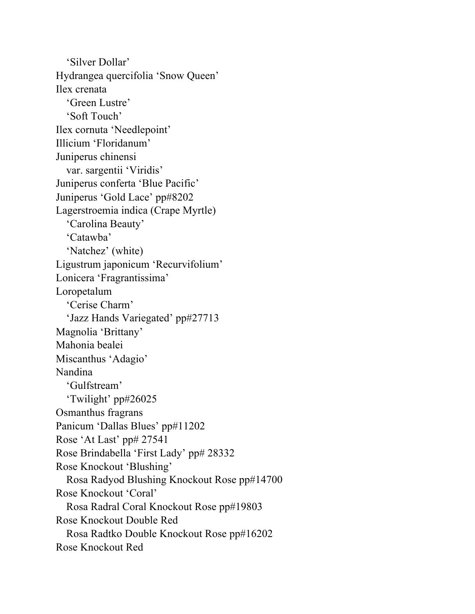'Silver Dollar' Hydrangea quercifolia 'Snow Queen' Ilex crenata 'Green Lustre' 'Soft Touch' Ilex cornuta 'Needlepoint' Illicium 'Floridanum' Juniperus chinensi var. sargentii 'Viridis' Juniperus conferta 'Blue Pacific' Juniperus 'Gold Lace' pp#8202 Lagerstroemia indica (Crape Myrtle) 'Carolina Beauty' 'Catawba' 'Natchez' (white) Ligustrum japonicum 'Recurvifolium' Lonicera 'Fragrantissima' Loropetalum 'Cerise Charm' 'Jazz Hands Variegated' pp#27713 Magnolia 'Brittany' Mahonia bealei Miscanthus 'Adagio' Nandina 'Gulfstream' 'Twilight' pp#26025 Osmanthus fragrans Panicum 'Dallas Blues' pp#11202 Rose 'At Last' pp# 27541 Rose Brindabella 'First Lady' pp# 28332 Rose Knockout 'Blushing' Rosa Radyod Blushing Knockout Rose pp#14700 Rose Knockout 'Coral' Rosa Radral Coral Knockout Rose pp#19803 Rose Knockout Double Red Rosa Radtko Double Knockout Rose pp#16202 Rose Knockout Red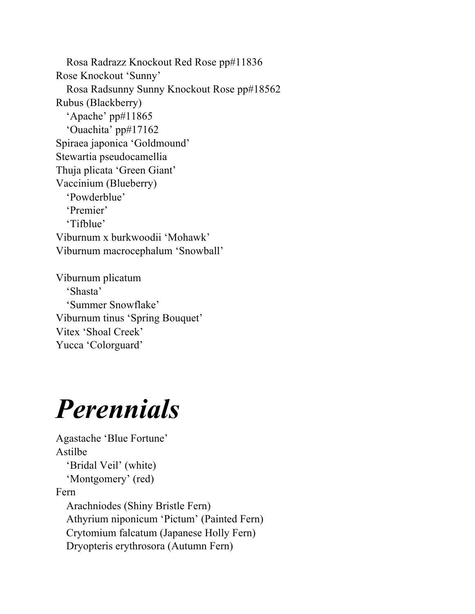Rosa Radrazz Knockout Red Rose pp#11836 Rose Knockout 'Sunny' Rosa Radsunny Sunny Knockout Rose pp#18562 Rubus (Blackberry) 'Apache' pp#11865 'Ouachita' pp#17162 Spiraea japonica 'Goldmound' Stewartia pseudocamellia Thuja plicata 'Green Giant' Vaccinium (Blueberry) 'Powderblue' 'Premier' 'Tifblue' Viburnum x burkwoodii 'Mohawk' Viburnum macrocephalum 'Snowball'

Viburnum plicatum 'Shasta' 'Summer Snowflake' Viburnum tinus 'Spring Bouquet' Vitex 'Shoal Creek' Yucca 'Colorguard'

## *Perennials*

Agastache 'Blue Fortune' Astilbe 'Bridal Veil' (white) 'Montgomery' (red) Fern Arachniodes (Shiny Bristle Fern) Athyrium niponicum 'Pictum' (Painted Fern) Crytomium falcatum (Japanese Holly Fern) Dryopteris erythrosora (Autumn Fern)